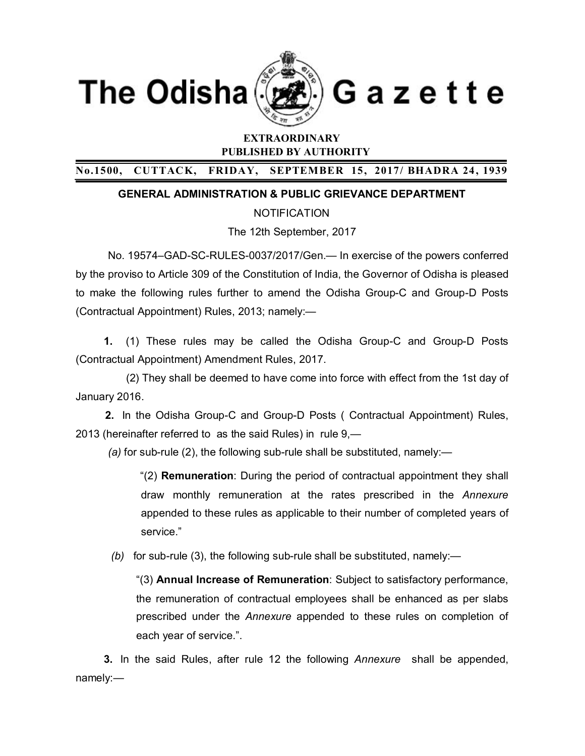



Gazette

# **EXTRAORDINARY PUBLISHED BY AUTHORITY**

# **No.1500, CUTTACK, FRIDAY, SEPTEMBER 15, 2017/ BHADRA 24 , 1939**

### **GENERAL ADMINISTRATION & PUBLIC GRIEVANCE DEPARTMENT**

**NOTIFICATION** 

The 12th September, 2017

No. 19574–GAD-SC-RULES-0037/2017/Gen.— In exercise of the powers conferred by the proviso to Article 309 of the Constitution of India, the Governor of Odisha is pleased to make the following rules further to amend the Odisha Group-C and Group-D Posts (Contractual Appointment) Rules, 2013; namely:—

**1.** (1) These rules may be called the Odisha Group-C and Group-D Posts (Contractual Appointment) Amendment Rules, 2017.

 (2) They shall be deemed to have come into force with effect from the 1st day of January 2016.

**2.** In the Odisha Group-C and Group-D Posts ( Contractual Appointment) Rules, 2013 (hereinafter referred to as the said Rules) in rule 9,—

*(a)* for sub-rule (2), the following sub-rule shall be substituted, namely:—

"(2) **Remuneration**: During the period of contractual appointment they shall draw monthly remuneration at the rates prescribed in the *Annexure*  appended to these rules as applicable to their number of completed years of service."

*(b)* for sub-rule (3), the following sub-rule shall be substituted, namely:—

"(3) **Annual Increase of Remuneration**: Subject to satisfactory performance, the remuneration of contractual employees shall be enhanced as per slabs prescribed under the *Annexure* appended to these rules on completion of each year of service.".

**3.** In the said Rules, after rule 12 the following *Annexure* shall be appended, namely:—